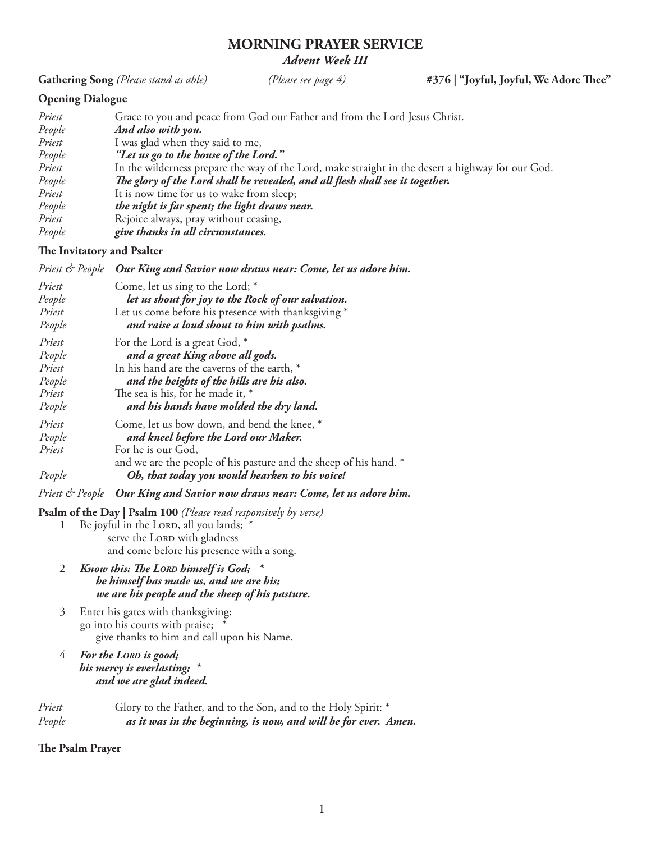# **MORNING PRAYER SERVICE** *Advent Week III*

**Gathering Song** *(Please stand as able) (Please see page 4)* **#376 | "Joyful, Joyful, We Adore Thee"**

# **Opening Dialogue**

| Priest | Grace to you and peace from God our Father and from the Lord Jesus Christ.                        |
|--------|---------------------------------------------------------------------------------------------------|
| People | And also with you.                                                                                |
| Priest | I was glad when they said to me,                                                                  |
| People | "Let us go to the house of the Lord."                                                             |
| Priest | In the wilderness prepare the way of the Lord, make straight in the desert a highway for our God. |
| People | The glory of the Lord shall be revealed, and all flesh shall see it together.                     |
| Priest | It is now time for us to wake from sleep;                                                         |
| People | the night is far spent; the light draws near.                                                     |
| Priest | Rejoice always, pray without ceasing,                                                             |
| People | give thanks in all circumstances.                                                                 |

## **The Invitatory and Psalter**

| Priest & People Our King and Savior now draws near: Come, let us adore him. |  |  |  |  |  |  |
|-----------------------------------------------------------------------------|--|--|--|--|--|--|
|-----------------------------------------------------------------------------|--|--|--|--|--|--|

| Priest | Come, let us sing to the Lord; *                                  |
|--------|-------------------------------------------------------------------|
| People | let us shout for joy to the Rock of our salvation.                |
| Priest | Let us come before his presence with thanksgiving *               |
| People | and raise a loud shout to him with psalms.                        |
| Priest | For the Lord is a great God, *                                    |
| People | and a great King above all gods.                                  |
| Priest | In his hand are the caverns of the earth, *                       |
| People | and the heights of the hills are his also.                        |
| Priest | The sea is his, for he made it, *                                 |
| People | and his hands have molded the dry land.                           |
| Priest | Come, let us bow down, and bend the knee, *                       |
| People | and kneel before the Lord our Maker.                              |
| Priest | For he is our God,                                                |
|        | and we are the people of his pasture and the sheep of his hand. * |
| People | Oh, that today you would hearken to his voice!                    |

*Priest & People Our King and Savior now draws near: Come, let us adore him.*

**Psalm of the Day | Psalm 100** *(Please read responsively by verse)*

- 1 Be joyful in the LORD, all you lands; \* serve the LORD with gladness and come before his presence with a song.
- 2 *Know this: The LORD himself is God;* \*  *he himself has made us, and we are his; we are his people and the sheep of his pasture.*
- 3 Enter his gates with thanksgiving; go into his courts with praise; \* give thanks to him and call upon his Name.
- 4 For the LORD is good;  *his mercy is everlasting; \* and we are glad indeed.*

| Priest | Glory to the Father, and to the Son, and to the Holy Spirit: *  |
|--------|-----------------------------------------------------------------|
| People | as it was in the beginning, is now, and will be for ever. Amen. |

## **The Psalm Prayer**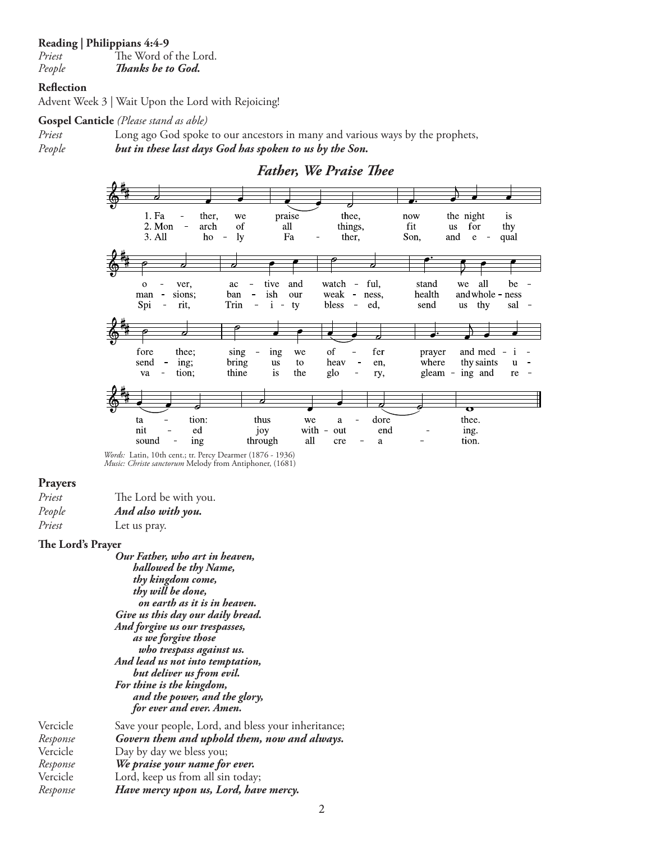#### **Reading | Philippians 4:4-9**

*Priest* The Word of the Lord. *People Thanks be to God.*

### **Reflection**

Advent Week 3 | Wait Upon the Lord with Rejoicing!

#### **Gospel Canticle** *(Please stand as able)*

*Priest* Long ago God spoke to our ancestors in many and various ways by the prophets, *People but in these last days God has spoken to us by the Son.*



 *Words:* Latin, 10th cent.; tr. Percy Dearmer (1876 - 1936)  *Music: Christe sanctorum* Melody from Antiphoner, (1681)

### **Prayers**

| Priest | The Lord be with you. |
|--------|-----------------------|
| People | And also with you.    |
| Priest | Let us pray.          |

#### **The Lord's Prayer**

*Our Father, who art in heaven, hallowed be thy Name, thy kingdom come, thy will be done, on earth as it is in heaven. Give us this day our daily bread. And forgive us our trespasses, as we forgive those who trespass against us. And lead us not into temptation, but deliver us from evil. For thine is the kingdom, and the power, and the glory, for ever and ever. Amen.*

Vercicle Save your people, Lord, and bless your inheritance;<br>Response Govern them and uphold them, now and always. *Response**Govern them and uphold them, now and always.* Vercicle Day by day we bless you; *Response**We praise your name for ever.* Vercicle Lord, keep us from all sin today;<br>Response **Have mercy upon us, Lord, hav** *Response**Have mercy upon us, Lord, have mercy.*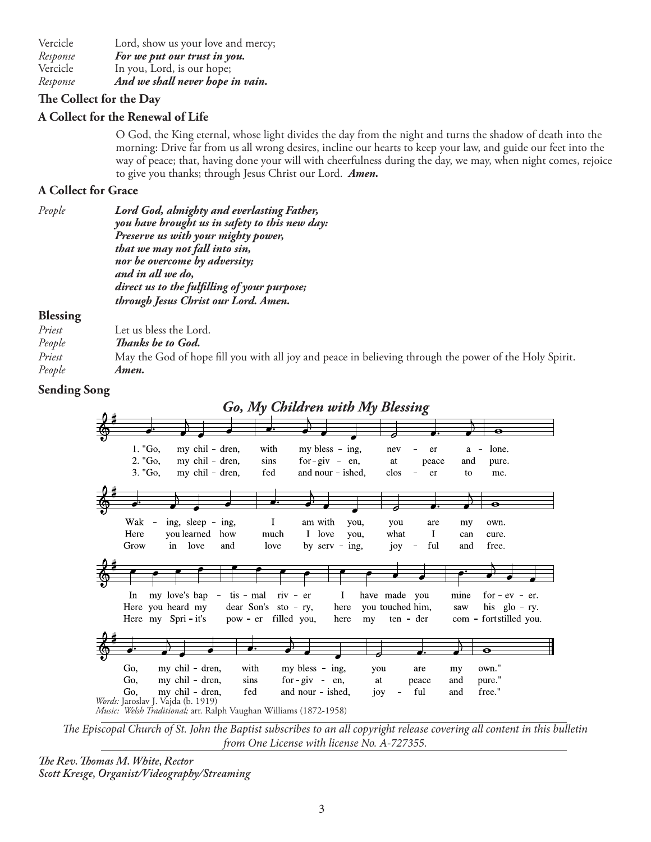Vercicle Lord, show us your love and mercy; *Response**For we put our trust in you.*  Vercicle In you, Lord, is our hope; *Response**And we shall never hope in vain.*

## **The Collect for the Day**

## **A Collect for the Renewal of Life**

O God, the King eternal, whose light divides the day from the night and turns the shadow of death into the morning: Drive far from us all wrong desires, incline our hearts to keep your law, and guide our feet into the way of peace; that, having done your will with cheerfulness during the day, we may, when night comes, rejoice to give you thanks; through Jesus Christ our Lord. *Amen.*

## **A Collect for Grace**

| People | Lord God, almighty and everlasting Father,     |
|--------|------------------------------------------------|
|        | you have brought us in safety to this new day: |
|        | Preserve us with your mighty power,            |
|        | that we may not fall into sin,                 |
|        | nor be overcome by adversity;                  |
|        | and in all we do,                              |
|        | direct us to the fulfilling of your purpose;   |
|        | through Jesus Christ our Lord. Amen.           |
|        |                                                |

## **Blessing**

| Priest | Let us bless the Lord.                                                                                 |
|--------|--------------------------------------------------------------------------------------------------------|
| People | Thanks be to God.                                                                                      |
| Priest | May the God of hope fill you with all joy and peace in believing through the power of the Holy Spirit. |
| People | Amen.                                                                                                  |
|        |                                                                                                        |

## **Sending Song**



*The Episcopal Church of St. John the Baptist subscribes to an all copyright release covering all content in this bulletin from One License with license No. A-727355.*

*The Rev. Thomas M. White, Rector Scott Kresge, Organist/Videography/Streaming*